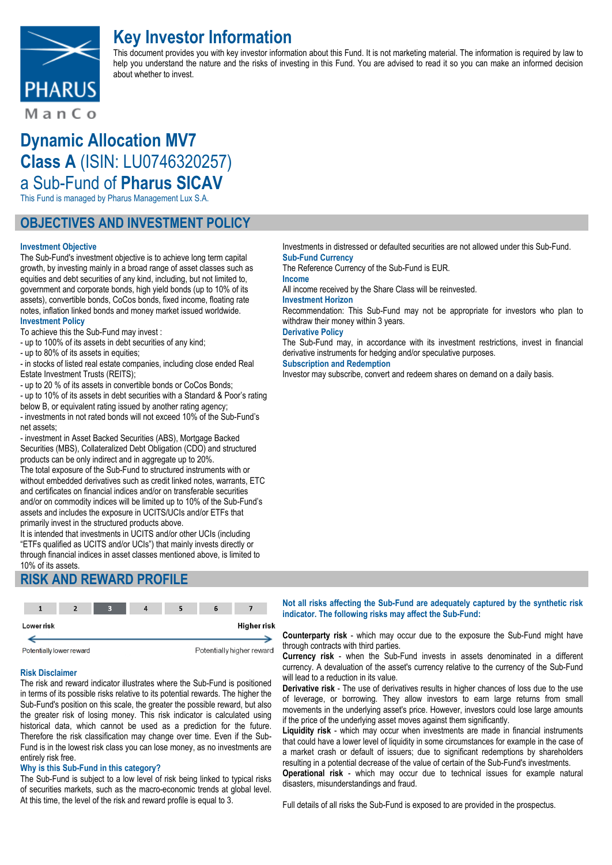

# **Key Investor Information**

This document provides you with key investor information about this Fund. It is not marketing material. The information is required by law to help you understand the nature and the risks of investing in this Fund. You are advised to read it so you can make an informed decision about whether to invest.

ManCo

# **Dynamic Allocation MV7 Class A** (ISIN: LU0746320257) a Sub-Fund of **Pharus SICAV**

This Fund is managed by Pharus Management Lux S.A.

## **OBJECTIVES AND INVESTMENT POLICY**

#### **Investment Objective**

The Sub-Fund's investment objective is to achieve long term capital growth, by investing mainly in a broad range of asset classes such as equities and debt securities of any kind, including, but not limited to, government and corporate bonds, high yield bonds (up to 10% of its assets), convertible bonds, CoCos bonds, fixed income, floating rate notes, inflation linked bonds and money market issued worldwide. **Investment Policy**

To achieve this the Sub-Fund may invest :

- up to 100% of its assets in debt securities of any kind;

- up to 80% of its assets in equities;

- in stocks of listed real estate companies, including close ended Real Estate Investment Trusts (REITS);

- up to 20 % of its assets in convertible bonds or CoCos Bonds;

- up to 10% of its assets in debt securities with a Standard & Poor's rating below B, or equivalent rating issued by another rating agency;

- investments in not rated bonds will not exceed 10% of the Sub-Fund's net assets;

- investment in Asset Backed Securities (ABS), Mortgage Backed Securities (MBS), Collateralized Debt Obligation (CDO) and structured products can be only indirect and in aggregate up to 20%.

The total exposure of the Sub-Fund to structured instruments with or without embedded derivatives such as credit linked notes, warrants, ETC and certificates on financial indices and/or on transferable securities and/or on commodity indices will be limited up to 10% of the Sub-Fund's assets and includes the exposure in UCITS/UCIs and/or ETFs that primarily invest in the structured products above.

It is intended that investments in UCITS and/or other UCIs (including "ETFs qualified as UCITS and/or UCIs") that mainly invests directly or through financial indices in asset classes mentioned above, is limited to 10% of its assets.

## **RISK AND REWARD PROFILE**



#### **Risk Disclaimer**

The risk and reward indicator illustrates where the Sub-Fund is positioned in terms of its possible risks relative to its potential rewards. The higher the Sub-Fund's position on this scale, the greater the possible reward, but also the greater risk of losing money. This risk indicator is calculated using historical data, which cannot be used as a prediction for the future. Therefore the risk classification may change over time. Even if the Sub-Fund is in the lowest risk class you can lose money, as no investments are entirely risk free.

#### **Why is this Sub-Fund in this category?**

The Sub-Fund is subject to a low level of risk being linked to typical risks of securities markets, such as the macro-economic trends at global level. At this time, the level of the risk and reward profile is equal to 3.

Investments in distressed or defaulted securities are not allowed under this Sub-Fund. **Sub-Fund Currency**

The Reference Currency of the Sub-Fund is EUR.

#### **Income**

All income received by the Share Class will be reinvested.

#### **Investment Horizon**

Recommendation: This Sub-Fund may not be appropriate for investors who plan to withdraw their money within 3 years.

#### **Derivative Policy**

The Sub-Fund may, in accordance with its investment restrictions, invest in financial derivative instruments for hedging and/or speculative purposes.

**Subscription and Redemption**

Investor may subscribe, convert and redeem shares on demand on a daily basis.

#### **Not all risks affecting the Sub-Fund are adequately captured by the synthetic risk indicator. The following risks may affect the Sub-Fund:**

**Counterparty risk** - which may occur due to the exposure the Sub-Fund might have through contracts with third parties.

**Currency risk** - when the Sub-Fund invests in assets denominated in a different currency. A devaluation of the asset's currency relative to the currency of the Sub-Fund will lead to a reduction in its value.

**Derivative risk** - The use of derivatives results in higher chances of loss due to the use of leverage, or borrowing. They allow investors to earn large returns from small movements in the underlying asset's price. However, investors could lose large amounts if the price of the underlying asset moves against them significantly.

**Liquidity risk** - which may occur when investments are made in financial instruments that could have a lower level of liquidity in some circumstances for example in the case of a market crash or default of issuers; due to significant redemptions by shareholders resulting in a potential decrease of the value of certain of the Sub-Fund's investments.

**Operational risk** - which may occur due to technical issues for example natural disasters, misunderstandings and fraud.

Full details of all risks the Sub-Fund is exposed to are provided in the prospectus.